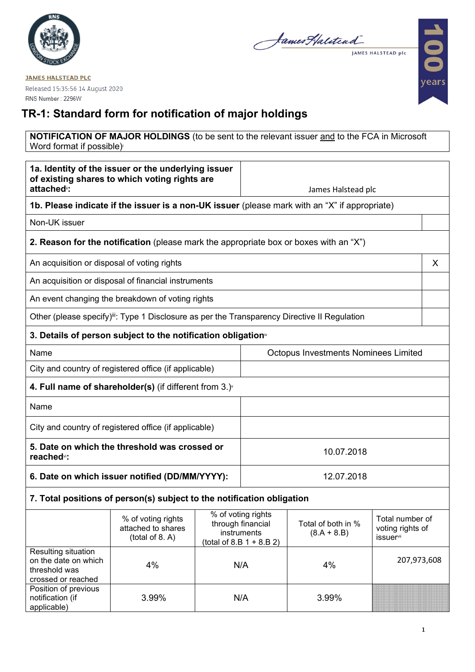

James Halitead JAMES HALSTEAD plc

100 ears

**JAMES HALSTEAD PLC** Released 15:35:56 14 August 2020 RNS Number: 2296W

## **TR-1: Standard form for notification of major holdings**

## **NOTIFICATION OF MAJOR HOLDINGS** (to be sent to the relevant issuer and to the FCA in Microsoft Word format if possible)

| 1a. Identity of the issuer or the underlying issuer<br>of existing shares to which voting rights are<br>attached <sup>®</sup> : |                                                                                                           |                                                                                                                                                  |                                             | James Halstead plc                  |             |   |
|---------------------------------------------------------------------------------------------------------------------------------|-----------------------------------------------------------------------------------------------------------|--------------------------------------------------------------------------------------------------------------------------------------------------|---------------------------------------------|-------------------------------------|-------------|---|
| 1b. Please indicate if the issuer is a non-UK issuer (please mark with an "X" if appropriate)                                   |                                                                                                           |                                                                                                                                                  |                                             |                                     |             |   |
| Non-UK issuer                                                                                                                   |                                                                                                           |                                                                                                                                                  |                                             |                                     |             |   |
|                                                                                                                                 | <b>2. Reason for the notification</b> (please mark the appropriate box or boxes with an "X")              |                                                                                                                                                  |                                             |                                     |             |   |
| An acquisition or disposal of voting rights                                                                                     |                                                                                                           |                                                                                                                                                  |                                             |                                     |             | X |
|                                                                                                                                 | An acquisition or disposal of financial instruments                                                       |                                                                                                                                                  |                                             |                                     |             |   |
|                                                                                                                                 | An event changing the breakdown of voting rights                                                          |                                                                                                                                                  |                                             |                                     |             |   |
|                                                                                                                                 | Other (please specify) <sup>iii</sup> : Type 1 Disclosure as per the Transparency Directive II Regulation |                                                                                                                                                  |                                             |                                     |             |   |
|                                                                                                                                 | 3. Details of person subject to the notification obligation <sup>®</sup>                                  |                                                                                                                                                  |                                             |                                     |             |   |
| Name                                                                                                                            |                                                                                                           |                                                                                                                                                  | <b>Octopus Investments Nominees Limited</b> |                                     |             |   |
|                                                                                                                                 | City and country of registered office (if applicable)                                                     |                                                                                                                                                  |                                             |                                     |             |   |
|                                                                                                                                 | 4. Full name of shareholder(s) (if different from $3.$ )                                                  |                                                                                                                                                  |                                             |                                     |             |   |
| Name                                                                                                                            |                                                                                                           |                                                                                                                                                  |                                             |                                     |             |   |
|                                                                                                                                 | City and country of registered office (if applicable)                                                     |                                                                                                                                                  |                                             |                                     |             |   |
| 5. Date on which the threshold was crossed or<br>reached <sup>vi</sup> :                                                        |                                                                                                           |                                                                                                                                                  | 10.07.2018                                  |                                     |             |   |
| 6. Date on which issuer notified (DD/MM/YYYY):                                                                                  |                                                                                                           |                                                                                                                                                  | 12.07.2018                                  |                                     |             |   |
| 7. Total positions of person(s) subject to the notification obligation                                                          |                                                                                                           |                                                                                                                                                  |                                             |                                     |             |   |
|                                                                                                                                 | % of voting rights<br>attached to shares<br>(total of 8. A)                                               | % of voting rights<br>through financial<br>Total of both in %<br>instruments<br>$(8.A + 8.B)$<br><b>issuer</b> vii<br>$(total of 8.B 1 + 8.B 2)$ |                                             | Total number of<br>voting rights of |             |   |
| Resulting situation<br>on the date on which<br>threshold was<br>crossed or reached                                              | 4%                                                                                                        |                                                                                                                                                  | N/A                                         | 4%                                  | 207,973,608 |   |
| Position of previous<br>notification (if<br>applicable)                                                                         | 3.99%                                                                                                     |                                                                                                                                                  | N/A                                         | 3.99%                               |             |   |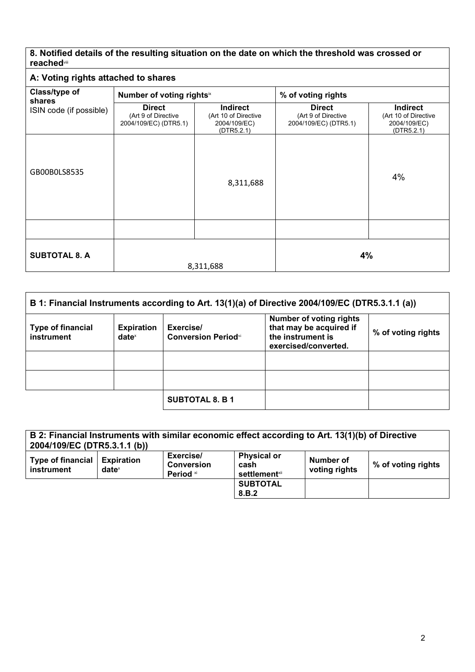## **8. Notified details of the resulting situation on the date on which the threshold was crossed or reached**viii

## **A: Voting rights attached to shares**

| Class/type of<br>shares | Number of voting rightsix                                     |                                                                       | % of voting rights                                            |                                                                       |
|-------------------------|---------------------------------------------------------------|-----------------------------------------------------------------------|---------------------------------------------------------------|-----------------------------------------------------------------------|
| ISIN code (if possible) | <b>Direct</b><br>(Art 9 of Directive<br>2004/109/EC) (DTR5.1) | <b>Indirect</b><br>(Art 10 of Directive<br>2004/109/EC)<br>(DTR5.2.1) | <b>Direct</b><br>(Art 9 of Directive<br>2004/109/EC) (DTR5.1) | <b>Indirect</b><br>(Art 10 of Directive<br>2004/109/EC)<br>(DTR5.2.1) |
| GB00B0LS8535            |                                                               | 8,311,688                                                             |                                                               | 4%                                                                    |
|                         |                                                               |                                                                       |                                                               |                                                                       |
| <b>SUBTOTAL 8. A</b>    |                                                               | 8,311,688                                                             | 4%                                                            |                                                                       |

| B 1: Financial Instruments according to Art. 13(1)(a) of Directive 2004/109/EC (DTR5.3.1.1 (a)) |                               |                                         |                                                                                                        |                    |
|-------------------------------------------------------------------------------------------------|-------------------------------|-----------------------------------------|--------------------------------------------------------------------------------------------------------|--------------------|
| <b>Type of financial</b><br>instrument                                                          | <b>Expiration</b><br>$date^x$ | Exercise/<br><b>Conversion Periodxi</b> | <b>Number of voting rights</b><br>that may be acquired if<br>the instrument is<br>exercised/converted. | % of voting rights |
|                                                                                                 |                               |                                         |                                                                                                        |                    |
|                                                                                                 |                               |                                         |                                                                                                        |                    |
|                                                                                                 |                               | <b>SUBTOTAL 8. B 1</b>                  |                                                                                                        |                    |

| 2004/109/EC (DTR5.3.1.1 (b))           |                               |                                             | B 2: Financial Instruments with similar economic effect according to Art. 13(1)(b) of Directive |                            |                    |
|----------------------------------------|-------------------------------|---------------------------------------------|-------------------------------------------------------------------------------------------------|----------------------------|--------------------|
| <b>Type of financial</b><br>instrument | <b>Expiration</b><br>$date^x$ | Exercise/<br><b>Conversion</b><br>Period xi | <b>Physical or</b><br>cash<br><b>settlement</b> xii                                             | Number of<br>voting rights | % of voting rights |
|                                        |                               |                                             | <b>SUBTOTAL</b><br>8.B.2                                                                        |                            |                    |